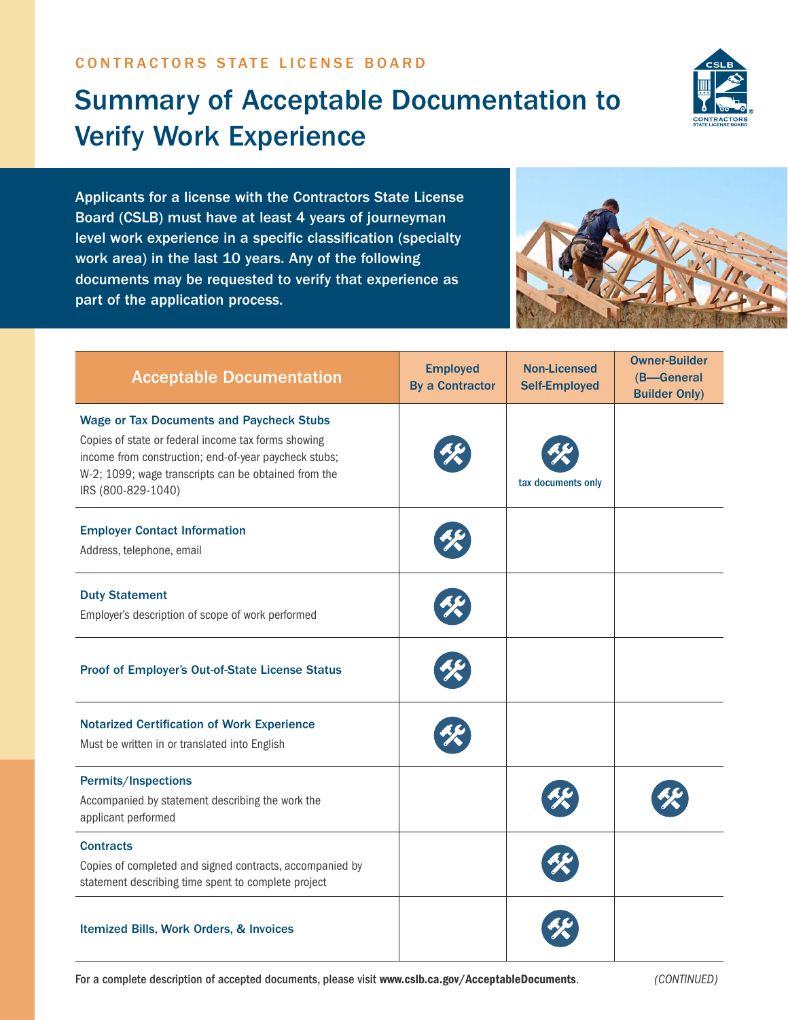## Summary of Acceptable Documentation to Verify Work Experience



Applicants for a license with the Contractors State License Board (CSLB) must have at least 4 years of journeyman level work experience in a specific classification (specialty work area) in the last 10 years. Any of the following documents may be requested to verify that experience as part of the application process.



| <b>Acceptable Documentation</b>                                                                                                                                                                                                               | <b>Employed</b><br><b>By a Contractor</b> | <b>Non-Licensed</b><br><b>Self-Employed</b> | <b>Owner-Builder</b><br>(B-General<br><b>Builder Only)</b> |
|-----------------------------------------------------------------------------------------------------------------------------------------------------------------------------------------------------------------------------------------------|-------------------------------------------|---------------------------------------------|------------------------------------------------------------|
| <b>Wage or Tax Documents and Paycheck Stubs</b><br>Copies of state or federal income tax forms showing<br>income from construction; end-of-year paycheck stubs;<br>W-2; 1099; wage transcripts can be obtained from the<br>IRS (800-829-1040) |                                           | tax documents only                          |                                                            |
| <b>Employer Contact Information</b><br>Address, telephone, email                                                                                                                                                                              |                                           |                                             |                                                            |
| <b>Duty Statement</b><br>Employer's description of scope of work performed                                                                                                                                                                    |                                           |                                             |                                                            |
| Proof of Employer's Out-of-State License Status                                                                                                                                                                                               |                                           |                                             |                                                            |
| <b>Notarized Certification of Work Experience</b><br>Must be written in or translated into English                                                                                                                                            |                                           |                                             |                                                            |
| Permits/Inspections<br>Accompanied by statement describing the work the<br>applicant performed                                                                                                                                                |                                           |                                             |                                                            |
| <b>Contracts</b><br>Copies of completed and signed contracts, accompanied by<br>statement describing time spent to complete project                                                                                                           |                                           |                                             |                                                            |
| Itemized Bills, Work Orders, & Invoices                                                                                                                                                                                                       |                                           |                                             |                                                            |